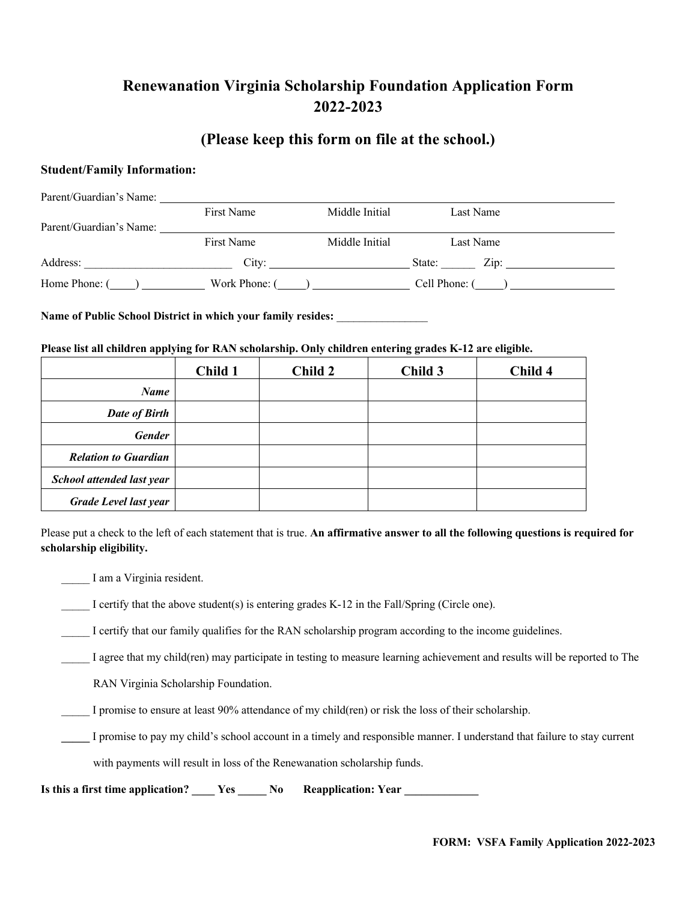# **Renewanation Virginia Scholarship Foundation Application Form 2022-2023**

## **(Please keep this form on file at the school.)**

## **Student/Family Information:**

| Parent/Guardian's Name: |                 |                |                                     |  |
|-------------------------|-----------------|----------------|-------------------------------------|--|
|                         | First Name      | Middle Initial | Last Name                           |  |
| Parent/Guardian's Name: |                 |                |                                     |  |
|                         | First Name      | Middle Initial | Last Name                           |  |
| Address:                |                 | City:          | $\overline{\text{Zip: }}$<br>State: |  |
| Home Phone: $(\_\_)$    | Work Phone: $($ |                | Cell Phone: ()                      |  |

## Name of Public School District in which your family resides:

### **Please list all children applying for RAN scholarship. Only children entering grades K-12 are eligible.**

|                              | Child 1 | Child 2 | Child 3 | Child 4 |
|------------------------------|---------|---------|---------|---------|
| <b>Name</b>                  |         |         |         |         |
| Date of Birth                |         |         |         |         |
| <b>Gender</b>                |         |         |         |         |
| <b>Relation to Guardian</b>  |         |         |         |         |
| School attended last year    |         |         |         |         |
| <b>Grade Level last year</b> |         |         |         |         |

Please put a check to the left of each statement that is true. **An affirmative answer to all the following questions is required for scholarship eligibility.**

\_\_\_\_\_ I am a Virginia resident.

\_\_\_\_\_ I certify that the above student(s) is entering grades K-12 in the Fall/Spring (Circle one).

\_\_\_\_\_ I certify that our family qualifies for the RAN scholarship program according to the income guidelines.

\_\_\_\_\_ I agree that my child(ren) may participate in testing to measure learning achievement and results will be reported to The

RAN Virginia Scholarship Foundation.

\_\_\_\_\_ I promise to ensure at least 90% attendance of my child(ren) or risk the loss of their scholarship.

**\_\_\_\_\_** I promise to pay my child's school account in a timely and responsible manner. I understand that failure to stay current

with payments will result in loss of the Renewanation scholarship funds.

Is this a first time application? **Later No Reapplication: Year** No Reapplication: Year